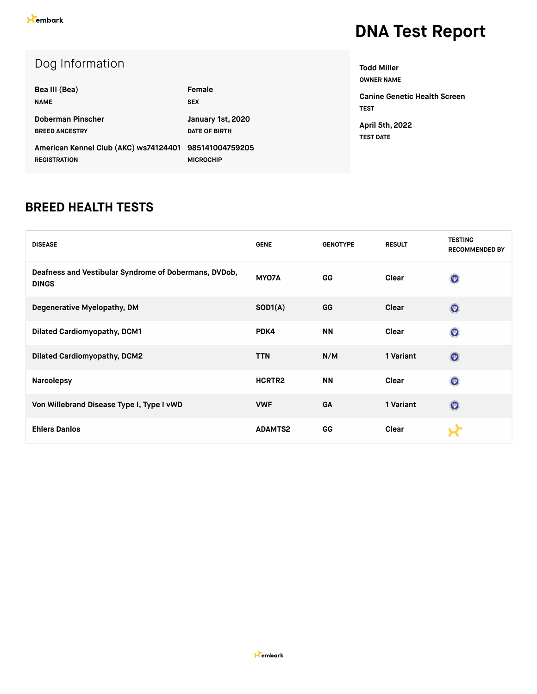| Bea III (Bea)                                                                | Female                                    |
|------------------------------------------------------------------------------|-------------------------------------------|
| <b>NAME</b>                                                                  | <b>SEX</b>                                |
| Doberman Pinscher<br><b>BREED ANCESTRY</b>                                   | January 1st, 2020<br><b>DATE OF BIRTH</b> |
| American Kennel Club (AKC) ws74124401 985141004759205<br><b>REGISTRATION</b> | <b>MICROCHIP</b>                          |

**OWNER NAME Canine Genetic Health Screen TEST April 5th, 2022**

**Todd Miller**

**TEST DATE**

#### **BREED HEALTH TESTS**

| <b>DISEASE</b>                                                        | <b>GENE</b>    | <b>GENOTYPE</b> | <b>RESULT</b> | <b>TESTING</b><br><b>RECOMMENDED BY</b> |
|-----------------------------------------------------------------------|----------------|-----------------|---------------|-----------------------------------------|
| Deafness and Vestibular Syndrome of Dobermans, DVDob,<br><b>DINGS</b> | MYO7A          | GG              | Clear         | $\circledcirc$                          |
| Degenerative Myelopathy, DM                                           | SOD1(A)        | GG              | Clear         | $\odot$                                 |
| <b>Dilated Cardiomyopathy, DCM1</b>                                   | PDK4           | <b>NN</b>       | Clear         | $\circledcirc$                          |
| <b>Dilated Cardiomyopathy, DCM2</b>                                   | <b>TTN</b>     | N/M             | 1 Variant     | $\odot$                                 |
| <b>Narcolepsy</b>                                                     | HCRTR2         | <b>NN</b>       | Clear         | $\circledcirc$                          |
| Von Willebrand Disease Type I, Type I vWD                             | <b>VWF</b>     | <b>GA</b>       | 1 Variant     | $\odot$                                 |
| <b>Ehlers Danlos</b>                                                  | <b>ADAMTS2</b> | GG              | Clear         |                                         |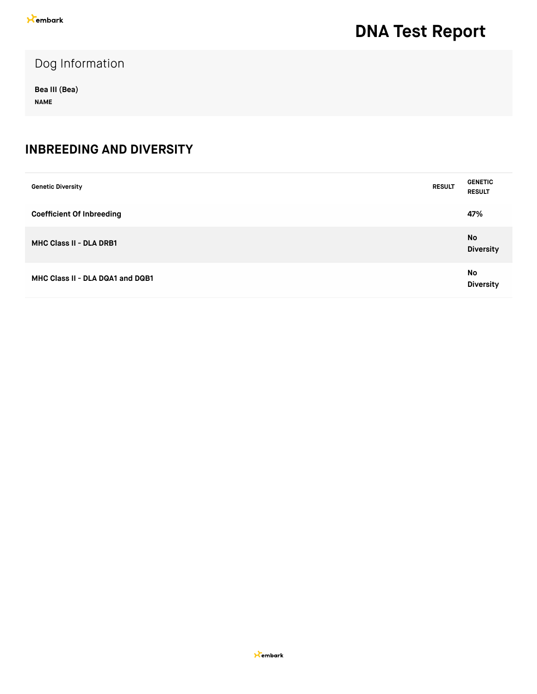### Dog Information

**Bea III (Bea) NAME**

#### **INBREEDING AND DIVERSITY**

| <b>Genetic Diversity</b>         | <b>RESULT</b> | <b>GENETIC</b><br><b>RESULT</b> |
|----------------------------------|---------------|---------------------------------|
| <b>Coefficient Of Inbreeding</b> |               | 47%                             |
| <b>MHC Class II - DLA DRB1</b>   |               | No<br><b>Diversity</b>          |
| MHC Class II - DLA DQA1 and DQB1 |               | No<br><b>Diversity</b>          |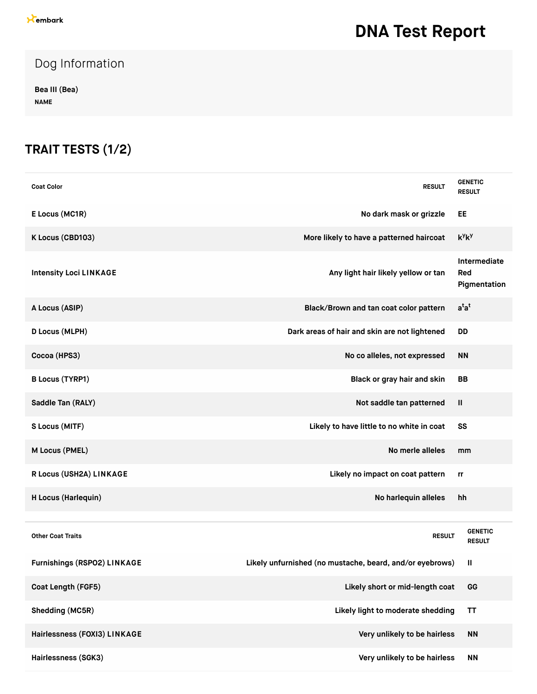### Dog Information

**Bea III (Bea) NAME**

### **TRAIT TESTS (1/2)**

| <b>Coat Color</b>             | <b>RESULT</b>                                            | <b>GENETIC</b><br><b>RESULT</b>     |
|-------------------------------|----------------------------------------------------------|-------------------------------------|
| E Locus (MC1R)                | No dark mask or grizzle                                  | EE                                  |
| K Locus (CBD103)              | More likely to have a patterned haircoat                 | $k^y k^y$                           |
| <b>Intensity Loci LINKAGE</b> | Any light hair likely yellow or tan                      | Intermediate<br>Red<br>Pigmentation |
| A Locus (ASIP)                | Black/Brown and tan coat color pattern                   | $a^{t}a^{t}$                        |
| D Locus (MLPH)                | Dark areas of hair and skin are not lightened            | <b>DD</b>                           |
| Cocoa (HPS3)                  | No co alleles, not expressed                             | <b>NN</b>                           |
| <b>B Locus (TYRP1)</b>        | Black or gray hair and skin                              | <b>BB</b>                           |
| Saddle Tan (RALY)             | Not saddle tan patterned                                 | Ш                                   |
| S Locus (MITF)                | Likely to have little to no white in coat                | SS                                  |
| M Locus (PMEL)                | No merle alleles                                         | mm                                  |
| R Locus (USH2A) LINKAGE       | Likely no impact on coat pattern                         | rr                                  |
| H Locus (Harlequin)           | No harlequin alleles                                     | hh                                  |
|                               |                                                          |                                     |
| <b>Other Coat Traits</b>      | <b>RESULT</b>                                            | <b>GENETIC</b><br><b>RESULT</b>     |
| Furnishings (RSPO2) LINKAGE   | Likely unfurnished (no mustache, beard, and/or eyebrows) | Ш                                   |
| Coat Length (FGF5)            | Likely short or mid-length coat                          | GG                                  |
| Shedding (MC5R)               | Likely light to moderate shedding                        | <b>TT</b>                           |
| Hairlessness (FOXI3) LINKAGE  | Very unlikely to be hairless                             | <b>NN</b>                           |
| Hairlessness (SGK3)           | Very unlikely to be hairless                             | <b>NN</b>                           |